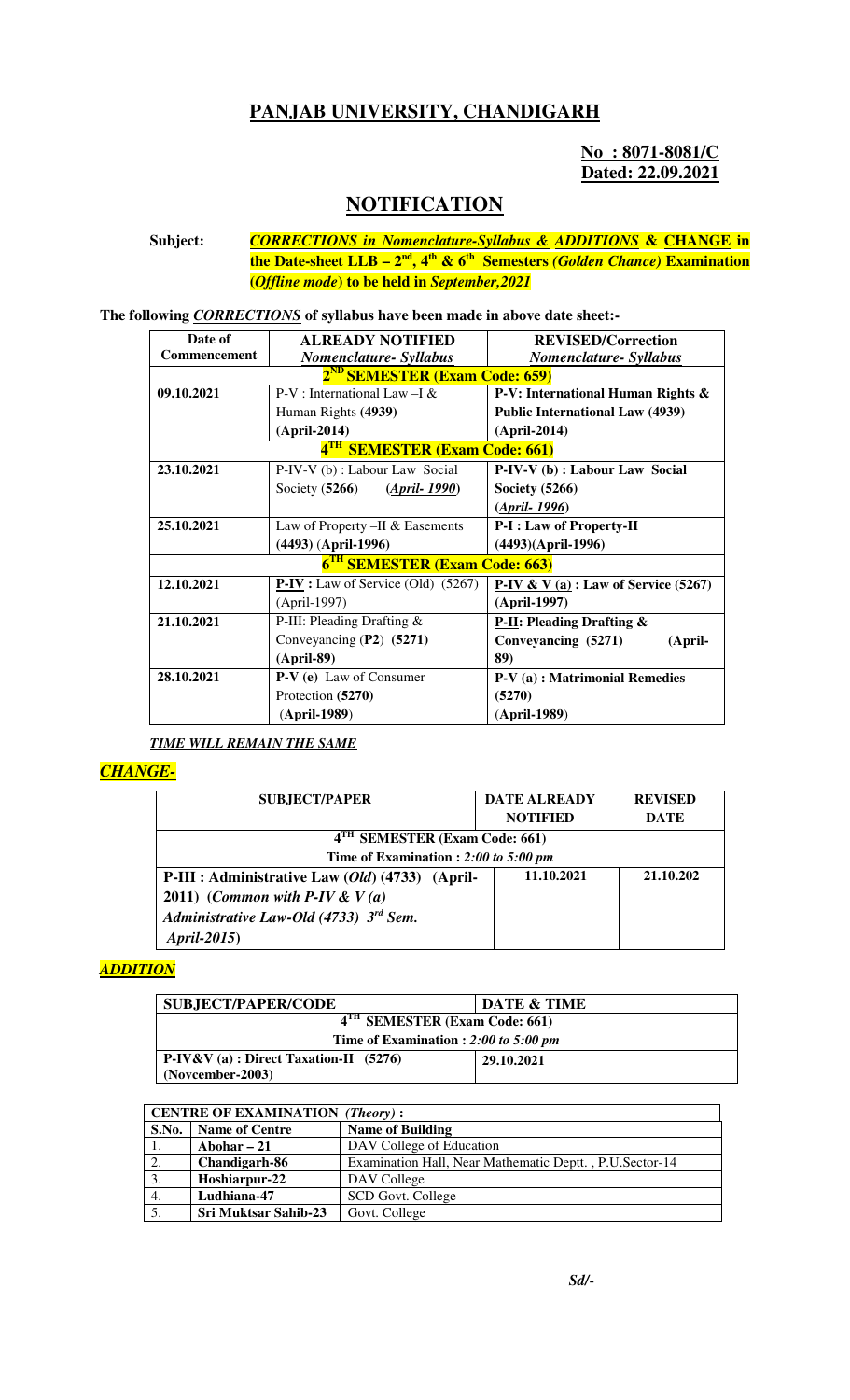## **PANJAB UNIVERSITY, CHANDIGARH**

### **No : 8071-8081/C Dated: 22.09.2021**

# **NOTIFICATION**

**Subject:** *CORRECTIONS in Nomenclature-Syllabus & ADDITIONS* **& CHANGE in the Date-sheet LLB – 2nd, 4th & 6th Semesters** *(Golden Chance)* **Examination (***Offline mode***) to be held in** *September,2021*

**The following** *CORRECTIONS* **of syllabus have been made in above date sheet:-** 

| Date of                                   | <b>ALREADY NOTIFIED</b>                                                        | <b>REVISED/Correction</b>              |  |  |  |
|-------------------------------------------|--------------------------------------------------------------------------------|----------------------------------------|--|--|--|
| <b>Commencement</b>                       | Nomenclature- Syllabus                                                         | Nomenclature- Syllabus                 |  |  |  |
| 2 <sup>ND</sup> SEMESTER (Exam Code: 659) |                                                                                |                                        |  |  |  |
| 09.10.2021                                | $P-V$ : International Law - I &                                                | P-V: International Human Rights &      |  |  |  |
|                                           | Human Rights (4939)                                                            | <b>Public International Law (4939)</b> |  |  |  |
|                                           | $(April-2014)$                                                                 | $(April-2014)$                         |  |  |  |
| 4 <sup>TH</sup> SEMESTER (Exam Code: 661) |                                                                                |                                        |  |  |  |
| 23.10.2021                                | P-IV-V (b) : Labour Law Social<br>P-IV-V (b) : Labour Law Social               |                                        |  |  |  |
|                                           | Society $(5266)$<br>(April. 1990)                                              | Society $(5266)$                       |  |  |  |
|                                           |                                                                                | (April-1996)                           |  |  |  |
| 25.10.2021                                | Law of Property $-II \&$ Easements                                             | <b>P-I: Law of Property-II</b>         |  |  |  |
|                                           | $(4493)$ (April-1996)                                                          | $(4493)(April-1996)$                   |  |  |  |
| 6 <sup>TH</sup> SEMESTER (Exam Code: 663) |                                                                                |                                        |  |  |  |
| 12.10.2021                                | $P-IV$ : Law of Service (Old) (5267)<br>P-IV & V (a) : Law of Service $(5267)$ |                                        |  |  |  |
|                                           | (April-1997)                                                                   | (April-1997)                           |  |  |  |
| 21.10.2021                                | P-III: Pleading Drafting &                                                     | <b>P-II: Pleading Drafting &amp;</b>   |  |  |  |
|                                           | Conveyancing $(P2)$ (5271)                                                     | Conveyancing (5271)<br>(April-         |  |  |  |
|                                           | $(April-89)$                                                                   | 89)                                    |  |  |  |
| 28.10.2021                                | $P-V(e)$ Law of Consumer                                                       | P-V(a): Matrimonial Remedies           |  |  |  |
|                                           | Protection (5270)                                                              | (5270)                                 |  |  |  |
|                                           | (April-1989)                                                                   | $(April-1989)$                         |  |  |  |

*TIME WILL REMAIN THE SAME*

### *CHANGE-*

| <b>SUBJECT/PAPER</b>                            | <b>DATE ALREADY</b> | <b>REVISED</b> |  |  |
|-------------------------------------------------|---------------------|----------------|--|--|
|                                                 | <b>NOTIFIED</b>     | <b>DATE</b>    |  |  |
| 4 <sup>TH</sup> SEMESTER (Exam Code: 661)       |                     |                |  |  |
| Time of Examination : 2:00 to 5:00 pm           |                     |                |  |  |
| P-III : Administrative Law (Old) (4733) (April- | 11.10.2021          | 21.10.202      |  |  |
| 2011) (Common with P-IV & $V(a)$                |                     |                |  |  |
| Administrative Law-Old (4733) $3^{rd}$ Sem.     |                     |                |  |  |
| April-2015)                                     |                     |                |  |  |

### *ADDITION*

| <b>SUBJECT/PAPER/CODE</b>                      | <b>DATE &amp; TIME</b> |  |
|------------------------------------------------|------------------------|--|
| 4 <sup>TH</sup> SEMESTER (Exam Code: 661)      |                        |  |
| Time of Examination : $2:00$ to 5:00 pm        |                        |  |
| $\vert$ P-IV&V (a) : Direct Taxation-II (5276) | 29.10.2021             |  |
| $(November-2003)$                              |                        |  |

| <b>CENTRE OF EXAMINATION (Theory):</b> |                             |                                                         |  |  |
|----------------------------------------|-----------------------------|---------------------------------------------------------|--|--|
| S.No.                                  | <b>Name of Centre</b>       | <b>Name of Building</b>                                 |  |  |
| -1.                                    | Abohar $-21$                | DAV College of Education                                |  |  |
| 2.                                     | Chandigarh-86               | Examination Hall, Near Mathematic Deptt., P.U.Sector-14 |  |  |
| 3.                                     | Hoshiarpur-22               | DAV College                                             |  |  |
| 4.                                     | Ludhiana-47                 | SCD Govt. College                                       |  |  |
| 5.                                     | <b>Sri Muktsar Sahib-23</b> | Govt. College                                           |  |  |